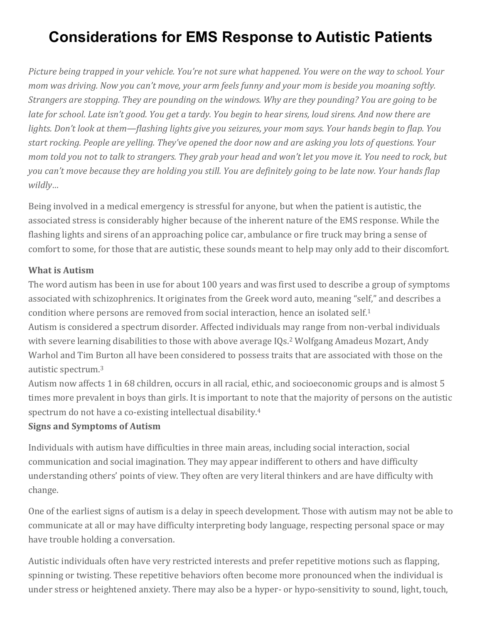# **Considerations for EMS Response to Autistic Patients**

Picture being trapped in your vehicle. You're not sure what happened. You were on the way to school. Your mom was driving. Now you can't move, your arm feels funny and your mom is beside you moaning softly. Strangers are stopping. They are pounding on the windows. Why are they pounding? You are going to be late for school. Late isn't good. You get a tardy. You begin to hear sirens, loud sirens. And now there are lights. Don't look at them—flashing lights give you seizures, your mom says. Your hands begin to flap. You start rocking. People are yelling. They've opened the door now and are asking you lots of questions. Your mom told you not to talk to strangers. They grab your head and won't let you move it. You need to rock, but you can't move because they are holding you still. You are definitely going to be late now. Your hands flap *wildly…*

Being involved in a medical emergency is stressful for anyone, but when the patient is autistic, the associated stress is considerably higher because of the inherent nature of the EMS response. While the flashing lights and sirens of an approaching police car, ambulance or fire truck may bring a sense of comfort to some, for those that are autistic, these sounds meant to help may only add to their discomfort.

#### **What is Autism**

The word autism has been in use for about 100 years and was first used to describe a group of symptoms associated with schizophrenics. It originates from the Greek word auto, meaning "self," and describes a condition where persons are removed from social interaction, hence an isolated self.<sup>1</sup>

Autism is considered a spectrum disorder. Affected individuals may range from non-verbal individuals with severe learning disabilities to those with above average IQs.<sup>2</sup> Wolfgang Amadeus Mozart, Andy Warhol and Tim Burton all have been considered to possess traits that are associated with those on the autistic spectrum.<sup>3</sup>

Autism now affects 1 in 68 children, occurs in all racial, ethic, and socioeconomic groups and is almost 5 times more prevalent in boys than girls. It is important to note that the majority of persons on the autistic spectrum do not have a co-existing intellectual disability.<sup>4</sup>

### **Signs and Symptoms of Autism**

Individuals with autism have difficulties in three main areas, including social interaction, social communication and social imagination. They may appear indifferent to others and have difficulty understanding others' points of view. They often are very literal thinkers and are have difficulty with change.

One of the earliest signs of autism is a delay in speech development. Those with autism may not be able to communicate at all or may have difficulty interpreting body language, respecting personal space or may have trouble holding a conversation.

Autistic individuals often have very restricted interests and prefer repetitive motions such as flapping, spinning or twisting. These repetitive behaviors often become more pronounced when the individual is under stress or heightened anxiety. There may also be a hyper- or hypo-sensitivity to sound, light, touch,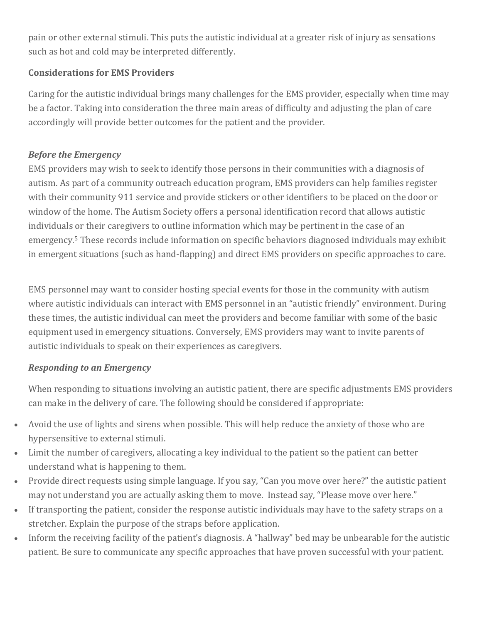pain or other external stimuli. This puts the autistic individual at a greater risk of injury as sensations such as hot and cold may be interpreted differently.

# **Considerations for EMS Providers**

Caring for the autistic individual brings many challenges for the EMS provider, especially when time may be a factor. Taking into consideration the three main areas of difficulty and adjusting the plan of care accordingly will provide better outcomes for the patient and the provider.

# *Before the Emergency*

EMS providers may wish to seek to identify those persons in their communities with a diagnosis of autism. As part of a community outreach education program, EMS providers can help families register with their community 911 service and provide stickers or other identifiers to be placed on the door or window of the home. The Autism Society offers a personal identification record that allows autistic individuals or their caregivers to outline information which may be pertinent in the case of an emergency.<sup>5</sup> These records include information on specific behaviors diagnosed individuals may exhibit in emergent situations (such as hand-flapping) and direct EMS providers on specific approaches to care.

EMS personnel may want to consider hosting special events for those in the community with autism where autistic individuals can interact with EMS personnel in an "autistic friendly" environment. During these times, the autistic individual can meet the providers and become familiar with some of the basic equipment used in emergency situations. Conversely, EMS providers may want to invite parents of autistic individuals to speak on their experiences as caregivers.

# *Responding to an Emergency*

When responding to situations involving an autistic patient, there are specific adjustments EMS providers can make in the delivery of care. The following should be considered if appropriate:

- Avoid the use of lights and sirens when possible. This will help reduce the anxiety of those who are hypersensitive to external stimuli.
- Limit the number of caregivers, allocating a key individual to the patient so the patient can better understand what is happening to them.
- Provide direct requests using simple language. If you say, "Can you move over here?" the autistic patient may not understand you are actually asking them to move. Instead say, "Please move over here."
- If transporting the patient, consider the response autistic individuals may have to the safety straps on a stretcher. Explain the purpose of the straps before application.
- Inform the receiving facility of the patient's diagnosis. A "hallway" bed may be unbearable for the autistic patient. Be sure to communicate any specific approaches that have proven successful with your patient.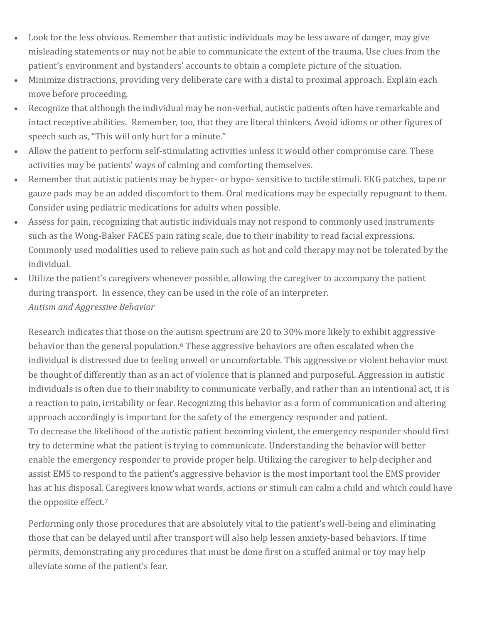- Look for the less obvious. Remember that autistic individuals may be less aware of danger, may give misleading statements or may not be able to communicate the extent of the trauma. Use clues from the patient's environment and bystanders' accounts to obtain a complete picture of the situation.
- Minimize distractions, providing very deliberate care with a distal to proximal approach. Explain each move before proceeding.
- Recognize that although the individual may be non-verbal, autistic patients often have remarkable and intact receptive abilities. Remember, too, that they are literal thinkers. Avoid idioms or other figures of speech such as, "This will only hurt for a minute."
- Allow the patient to perform self-stimulating activities unless it would other compromise care. These activities may be patients' ways of calming and comforting themselves.
- Remember that autistic patients may be hyper- or hypo- sensitive to tactile stimuli. EKG patches, tape or gauze pads may be an added discomfort to them. Oral medications may be especially repugnant to them. Consider using pediatric medications for adults when possible.
- Assess for pain, recognizing that autistic individuals may not respond to commonly used instruments such as the Wong-Baker FACES pain rating scale, due to their inability to read facial expressions. Commonly used modalities used to relieve pain such as hot and cold therapy may not be tolerated by the individual.
- Utilize the patient's caregivers whenever possible, allowing the caregiver to accompany the patient during transport. In essence, they can be used in the role of an interpreter. *Autism and Aggressive Behavior*

Research indicates that those on the autism spectrum are 20 to 30% more likely to exhibit aggressive behavior than the general population.<sup>6</sup> These aggressive behaviors are often escalated when the individual is distressed due to feeling unwell or uncomfortable. This aggressive or violent behavior must be thought of differently than as an act of violence that is planned and purposeful. Aggression in autistic individuals is often due to their inability to communicate verbally, and rather than an intentional act, it is a reaction to pain, irritability or fear. Recognizing this behavior as a form of communication and altering approach accordingly is important for the safety of the emergency responder and patient. To decrease the likelihood of the autistic patient becoming violent, the emergency responder should first try to determine what the patient is trying to communicate. Understanding the behavior will better enable the emergency responder to provide proper help. Utilizing the caregiver to help decipher and assist EMS to respond to the patient's aggressive behavior is the most important tool the EMS provider has at his disposal. Caregivers know what words, actions or stimuli can calm a child and which could have the opposite effect.<sup>7</sup>

Performing only those procedures that are absolutely vital to the patient's well-being and eliminating those that can be delayed until after transport will also help lessen anxiety-based behaviors. If time permits, demonstrating any procedures that must be done first on a stuffed animal or toy may help alleviate some of the patient's fear.